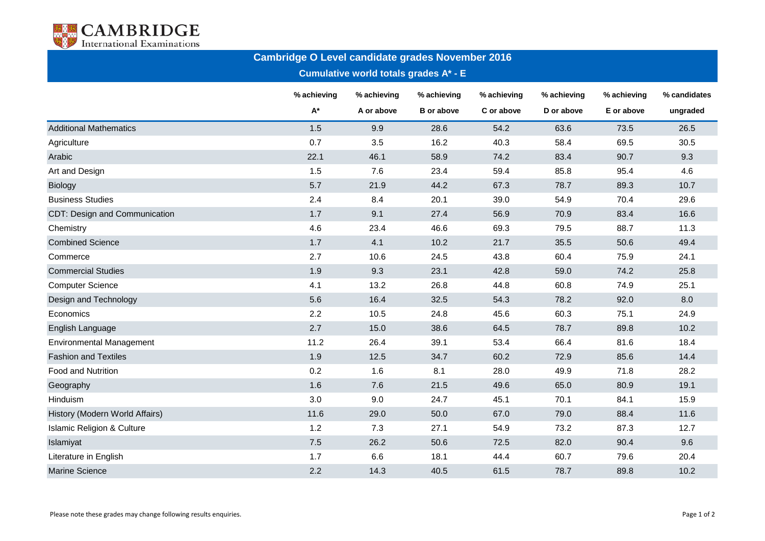

## **Cambridge O Level candidate grades November 2016**

**Cumulative world totals grades A\* - E**

|                                       | % achieving | % achieving | % achieving       | % achieving | % achieving | % achieving | % candidates |
|---------------------------------------|-------------|-------------|-------------------|-------------|-------------|-------------|--------------|
|                                       | $A^*$       | A or above  | <b>B</b> or above | C or above  | D or above  | E or above  | ungraded     |
| <b>Additional Mathematics</b>         | 1.5         | 9.9         | 28.6              | 54.2        | 63.6        | 73.5        | 26.5         |
| Agriculture                           | 0.7         | 3.5         | 16.2              | 40.3        | 58.4        | 69.5        | 30.5         |
| Arabic                                | 22.1        | 46.1        | 58.9              | 74.2        | 83.4        | 90.7        | 9.3          |
| Art and Design                        | 1.5         | 7.6         | 23.4              | 59.4        | 85.8        | 95.4        | 4.6          |
| <b>Biology</b>                        | 5.7         | 21.9        | 44.2              | 67.3        | 78.7        | 89.3        | 10.7         |
| <b>Business Studies</b>               | 2.4         | 8.4         | 20.1              | 39.0        | 54.9        | 70.4        | 29.6         |
| CDT: Design and Communication         | 1.7         | 9.1         | 27.4              | 56.9        | 70.9        | 83.4        | 16.6         |
| Chemistry                             | 4.6         | 23.4        | 46.6              | 69.3        | 79.5        | 88.7        | 11.3         |
| <b>Combined Science</b>               | 1.7         | 4.1         | 10.2              | 21.7        | 35.5        | 50.6        | 49.4         |
| Commerce                              | 2.7         | 10.6        | 24.5              | 43.8        | 60.4        | 75.9        | 24.1         |
| <b>Commercial Studies</b>             | 1.9         | 9.3         | 23.1              | 42.8        | 59.0        | 74.2        | 25.8         |
| <b>Computer Science</b>               | 4.1         | 13.2        | 26.8              | 44.8        | 60.8        | 74.9        | 25.1         |
| Design and Technology                 | 5.6         | 16.4        | 32.5              | 54.3        | 78.2        | 92.0        | 8.0          |
| Economics                             | 2.2         | 10.5        | 24.8              | 45.6        | 60.3        | 75.1        | 24.9         |
| English Language                      | 2.7         | 15.0        | 38.6              | 64.5        | 78.7        | 89.8        | 10.2         |
| <b>Environmental Management</b>       | 11.2        | 26.4        | 39.1              | 53.4        | 66.4        | 81.6        | 18.4         |
| <b>Fashion and Textiles</b>           | 1.9         | 12.5        | 34.7              | 60.2        | 72.9        | 85.6        | 14.4         |
| Food and Nutrition                    | 0.2         | 1.6         | 8.1               | 28.0        | 49.9        | 71.8        | 28.2         |
| Geography                             | 1.6         | 7.6         | 21.5              | 49.6        | 65.0        | 80.9        | 19.1         |
| Hinduism                              | 3.0         | 9.0         | 24.7              | 45.1        | 70.1        | 84.1        | 15.9         |
| History (Modern World Affairs)        | 11.6        | 29.0        | 50.0              | 67.0        | 79.0        | 88.4        | 11.6         |
| <b>Islamic Religion &amp; Culture</b> | 1.2         | 7.3         | 27.1              | 54.9        | 73.2        | 87.3        | 12.7         |
| Islamiyat                             | 7.5         | 26.2        | 50.6              | 72.5        | 82.0        | 90.4        | 9.6          |
| Literature in English                 | 1.7         | 6.6         | 18.1              | 44.4        | 60.7        | 79.6        | 20.4         |
| <b>Marine Science</b>                 | 2.2         | 14.3        | 40.5              | 61.5        | 78.7        | 89.8        | 10.2         |